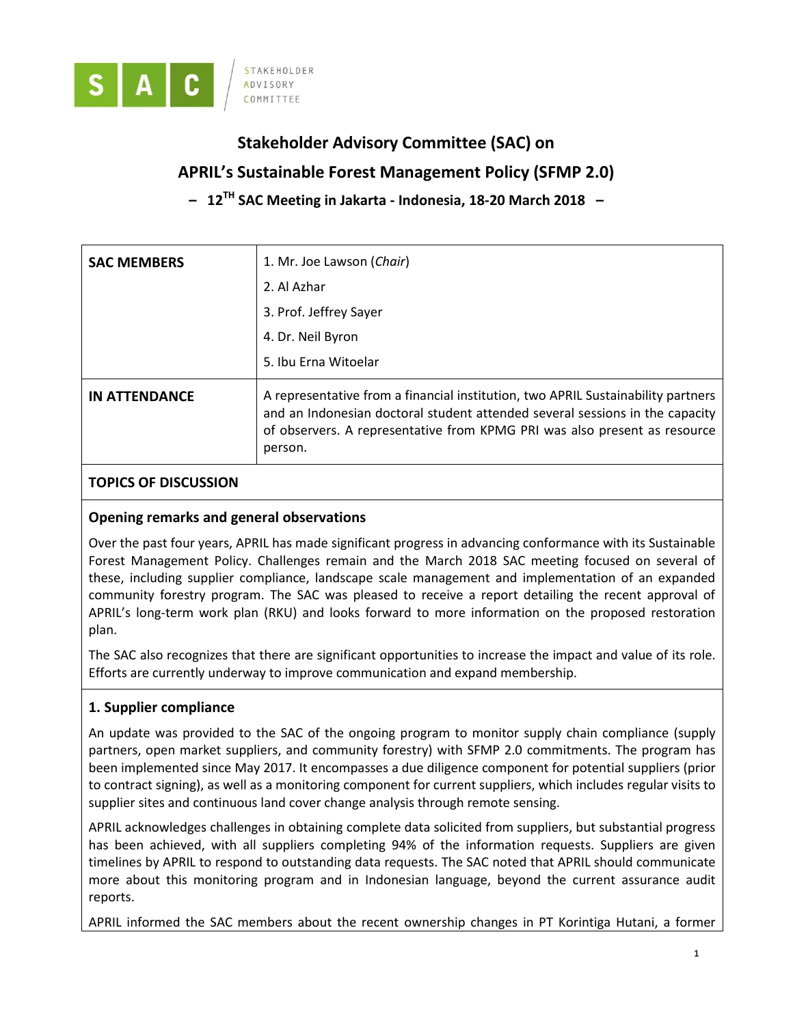

# **Stakeholder Advisory Committee (SAC) on**

## **APRIL's Sustainable Forest Management Policy (SFMP 2.0)**

**– 12 TH SAC Meeting in Jakarta - Indonesia, 18-20 March 2018 –**

| <b>SAC MEMBERS</b>   | 1. Mr. Joe Lawson ( <i>Chair</i> )<br>2. Al Azhar<br>3. Prof. Jeffrey Sayer<br>4. Dr. Neil Byron<br>5. Ibu Erna Witoelar                                                                                                                                 |
|----------------------|----------------------------------------------------------------------------------------------------------------------------------------------------------------------------------------------------------------------------------------------------------|
| <b>IN ATTENDANCE</b> | A representative from a financial institution, two APRIL Sustainability partners<br>and an Indonesian doctoral student attended several sessions in the capacity<br>of observers. A representative from KPMG PRI was also present as resource<br>person. |

### **TOPICS OF DISCUSSION**

### **Opening remarks and general observations**

Over the past four years, APRIL has made significant progress in advancing conformance with its Sustainable Forest Management Policy. Challenges remain and the March 2018 SAC meeting focused on several of these, including supplier compliance, landscape scale management and implementation of an expanded community forestry program. The SAC was pleased to receive a report detailing the recent approval of APRIL's long-term work plan (RKU) and looks forward to more information on the proposed restoration plan.

The SAC also recognizes that there are significant opportunities to increase the impact and value of its role. Efforts are currently underway to improve communication and expand membership.

### **1. Supplier compliance**

An update was provided to the SAC of the ongoing program to monitor supply chain compliance (supply partners, open market suppliers, and community forestry) with SFMP 2.0 commitments. The program has been implemented since May 2017. It encompasses a due diligence component for potential suppliers (prior to contract signing), as well as a monitoring component for current suppliers, which includes regular visits to supplier sites and continuous land cover change analysis through remote sensing.

APRIL acknowledges challenges in obtaining complete data solicited from suppliers, but substantial progress has been achieved, with all suppliers completing 94% of the information requests. Suppliers are given timelines by APRIL to respond to outstanding data requests. The SAC noted that APRIL should communicate more about this monitoring program and in Indonesian language, beyond the current assurance audit reports.

APRIL informed the SAC members about the recent ownership changes in PT Korintiga Hutani, a former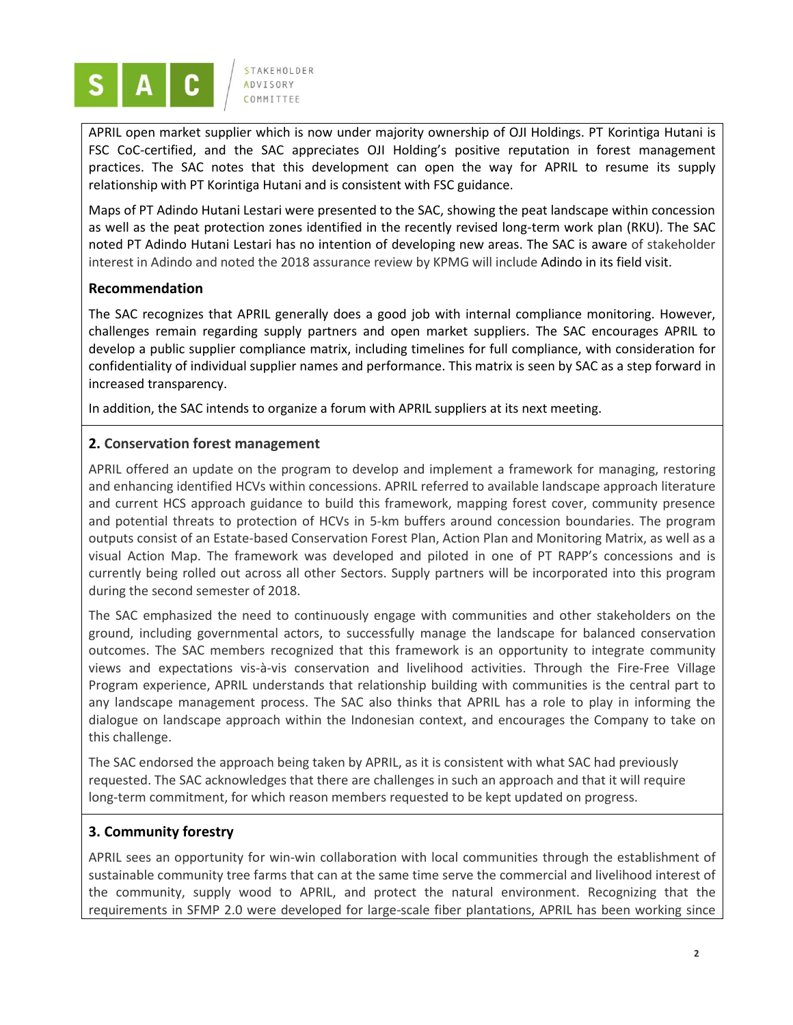

APRIL open market supplier which is now under majority ownership of OJI Holdings. PT Korintiga Hutani is FSC CoC-certified, and the SAC appreciates OJI Holding's positive reputation in forest management practices. The SAC notes that this development can open the way for APRIL to resume its supply relationship with PT Korintiga Hutani and is consistent with FSC guidance.

Maps of PT Adindo Hutani Lestari were presented to the SAC, showing the peat landscape within concession as well as the peat protection zones identified in the recently revised long-term work plan (RKU). The SAC noted PT Adindo Hutani Lestari has no intention of developing new areas. The SAC is aware of stakeholder interest in Adindo and noted the 2018 assurance review by KPMG will include Adindo in its field visit.

### **Recommendation**

The SAC recognizes that APRIL generally does a good job with internal compliance monitoring. However, challenges remain regarding supply partners and open market suppliers. The SAC encourages APRIL to develop a public supplier compliance matrix, including timelines for full compliance, with consideration for confidentiality of individual supplier names and performance. This matrix is seen by SAC as a step forward in increased transparency.

In addition, the SAC intends to organize a forum with APRIL suppliers at its next meeting.

### **2. Conservation forest management**

APRIL offered an update on the program to develop and implement a framework for managing, restoring and enhancing identified HCVs within concessions. APRIL referred to available landscape approach literature and current HCS approach guidance to build this framework, mapping forest cover, community presence and potential threats to protection of HCVs in 5-km buffers around concession boundaries. The program outputs consist of an Estate-based Conservation Forest Plan, Action Plan and Monitoring Matrix, as well as a visual Action Map. The framework was developed and piloted in one of PT RAPP's concessions and is currently being rolled out across all other Sectors. Supply partners will be incorporated into this program during the second semester of 2018.

The SAC emphasized the need to continuously engage with communities and other stakeholders on the ground, including governmental actors, to successfully manage the landscape for balanced conservation outcomes. The SAC members recognized that this framework is an opportunity to integrate community views and expectations vis-à-vis conservation and livelihood activities. Through the Fire-Free Village Program experience, APRIL understands that relationship building with communities is the central part to any landscape management process. The SAC also thinks that APRIL has a role to play in informing the dialogue on landscape approach within the Indonesian context, and encourages the Company to take on this challenge.

The SAC endorsed the approach being taken by APRIL, as it is consistent with what SAC had previously requested. The SAC acknowledges that there are challenges in such an approach and that it will require long-term commitment, for which reason members requested to be kept updated on progress.

### **3. Community forestry**

APRIL sees an opportunity for win-win collaboration with local communities through the establishment of sustainable community tree farms that can at the same time serve the commercial and livelihood interest of the community, supply wood to APRIL, and protect the natural environment. Recognizing that the requirements in SFMP 2.0 were developed for large-scale fiber plantations, APRIL has been working since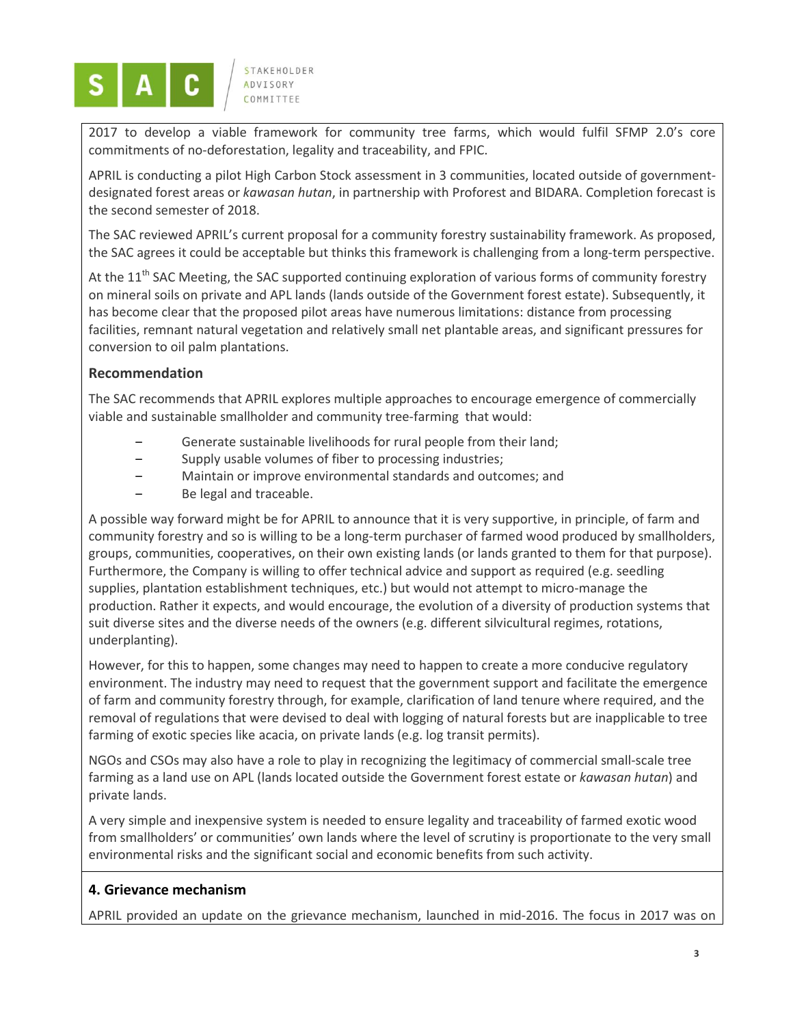

2017 to develop a viable framework for community tree farms, which would fulfil SFMP 2.0's core commitments of no-deforestation, legality and traceability, and FPIC.

APRIL is conducting a pilot High Carbon Stock assessment in 3 communities, located outside of governmentdesignated forest areas or *kawasan hutan*, in partnership with Proforest and BIDARA. Completion forecast is the second semester of 2018.

The SAC reviewed APRIL's current proposal for a community forestry sustainability framework. As proposed, the SAC agrees it could be acceptable but thinks this framework is challenging from a long-term perspective.

At the 11<sup>th</sup> SAC Meeting, the SAC supported continuing exploration of various forms of community forestry on mineral soils on private and APL lands (lands outside of the Government forest estate). Subsequently, it has become clear that the proposed pilot areas have numerous limitations: distance from processing facilities, remnant natural vegetation and relatively small net plantable areas, and significant pressures for conversion to oil palm plantations.

### **Recommendation**

The SAC recommends that APRIL explores multiple approaches to encourage emergence of commercially viable and sustainable smallholder and community tree-farming that would:

- Generate sustainable livelihoods for rural people from their land;
- ‒ Supply usable volumes of fiber to processing industries;
- ‒ Maintain or improve environmental standards and outcomes; and
- Be legal and traceable.

A possible way forward might be for APRIL to announce that it is very supportive, in principle, of farm and community forestry and so is willing to be a long-term purchaser of farmed wood produced by smallholders, groups, communities, cooperatives, on their own existing lands (or lands granted to them for that purpose). Furthermore, the Company is willing to offer technical advice and support as required (e.g. seedling supplies, plantation establishment techniques, etc.) but would not attempt to micro-manage the production. Rather it expects, and would encourage, the evolution of a diversity of production systems that suit diverse sites and the diverse needs of the owners (e.g. different silvicultural regimes, rotations, underplanting).

However, for this to happen, some changes may need to happen to create a more conducive regulatory environment. The industry may need to request that the government support and facilitate the emergence of farm and community forestry through, for example, clarification of land tenure where required, and the removal of regulations that were devised to deal with logging of natural forests but are inapplicable to tree farming of exotic species like acacia, on private lands (e.g. log transit permits).

NGOs and CSOs may also have a role to play in recognizing the legitimacy of commercial small-scale tree farming as a land use on APL (lands located outside the Government forest estate or *kawasan hutan*) and private lands.

A very simple and inexpensive system is needed to ensure legality and traceability of farmed exotic wood from smallholders' or communities' own lands where the level of scrutiny is proportionate to the very small environmental risks and the significant social and economic benefits from such activity.

### **4. Grievance mechanism**

APRIL provided an update on the grievance mechanism, launched in mid-2016. The focus in 2017 was on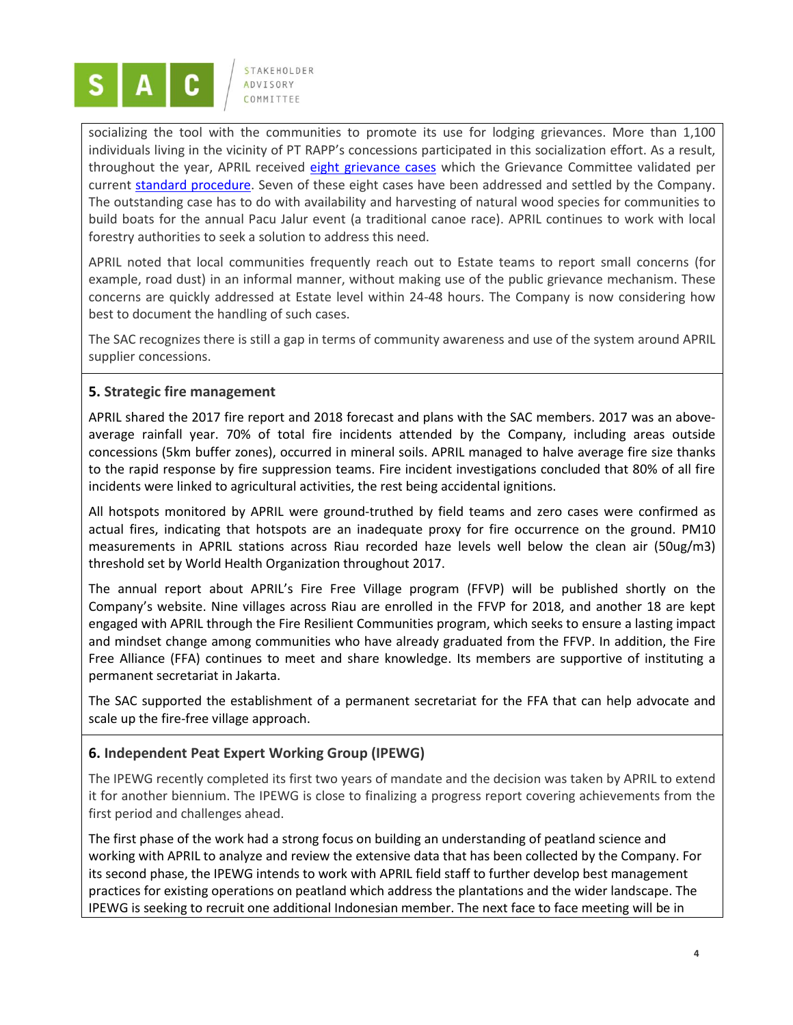

socializing the tool with the communities to promote its use for lodging grievances. More than 1,100 individuals living in the vicinity of PT RAPP's concessions participated in this socialization effort. As a result, throughout the year, APRIL received eight [grievance cases](http://sustainability.aprilasia.com/category/grievance-tracking/17) which the Grievance Committee validated per current [standard procedure.](http://sustainability.aprilasia.com/download/preview/96) Seven of these eight cases have been addressed and settled by the Company. The outstanding case has to do with availability and harvesting of natural wood species for communities to build boats for the annual Pacu Jalur event (a traditional canoe race). APRIL continues to work with local forestry authorities to seek a solution to address this need.

APRIL noted that local communities frequently reach out to Estate teams to report small concerns (for example, road dust) in an informal manner, without making use of the public grievance mechanism. These concerns are quickly addressed at Estate level within 24-48 hours. The Company is now considering how best to document the handling of such cases.

The SAC recognizes there is still a gap in terms of community awareness and use of the system around APRIL supplier concessions.

### **5. Strategic fire management**

APRIL shared the 2017 fire report and 2018 forecast and plans with the SAC members. 2017 was an aboveaverage rainfall year. 70% of total fire incidents attended by the Company, including areas outside concessions (5km buffer zones), occurred in mineral soils. APRIL managed to halve average fire size thanks to the rapid response by fire suppression teams. Fire incident investigations concluded that 80% of all fire incidents were linked to agricultural activities, the rest being accidental ignitions.

All hotspots monitored by APRIL were ground-truthed by field teams and zero cases were confirmed as actual fires, indicating that hotspots are an inadequate proxy for fire occurrence on the ground. PM10 measurements in APRIL stations across Riau recorded haze levels well below the clean air (50ug/m3) threshold set by World Health Organization throughout 2017.

The annual report about APRIL's Fire Free Village program (FFVP) will be published shortly on the Company's website. Nine villages across Riau are enrolled in the FFVP for 2018, and another 18 are kept engaged with APRIL through the Fire Resilient Communities program, which seeks to ensure a lasting impact and mindset change among communities who have already graduated from the FFVP. In addition, the Fire Free Alliance (FFA) continues to meet and share knowledge. Its members are supportive of instituting a permanent secretariat in Jakarta.

The SAC supported the establishment of a permanent secretariat for the FFA that can help advocate and scale up the fire-free village approach.

### **6. Independent Peat Expert Working Group (IPEWG)**

The IPEWG recently completed its first two years of mandate and the decision was taken by APRIL to extend it for another biennium. The IPEWG is close to finalizing a progress report covering achievements from the first period and challenges ahead.

The first phase of the work had a strong focus on building an understanding of peatland science and working with APRIL to analyze and review the extensive data that has been collected by the Company. For its second phase, the IPEWG intends to work with APRIL field staff to further develop best management practices for existing operations on peatland which address the plantations and the wider landscape. The IPEWG is seeking to recruit one additional Indonesian member. The next face to face meeting will be in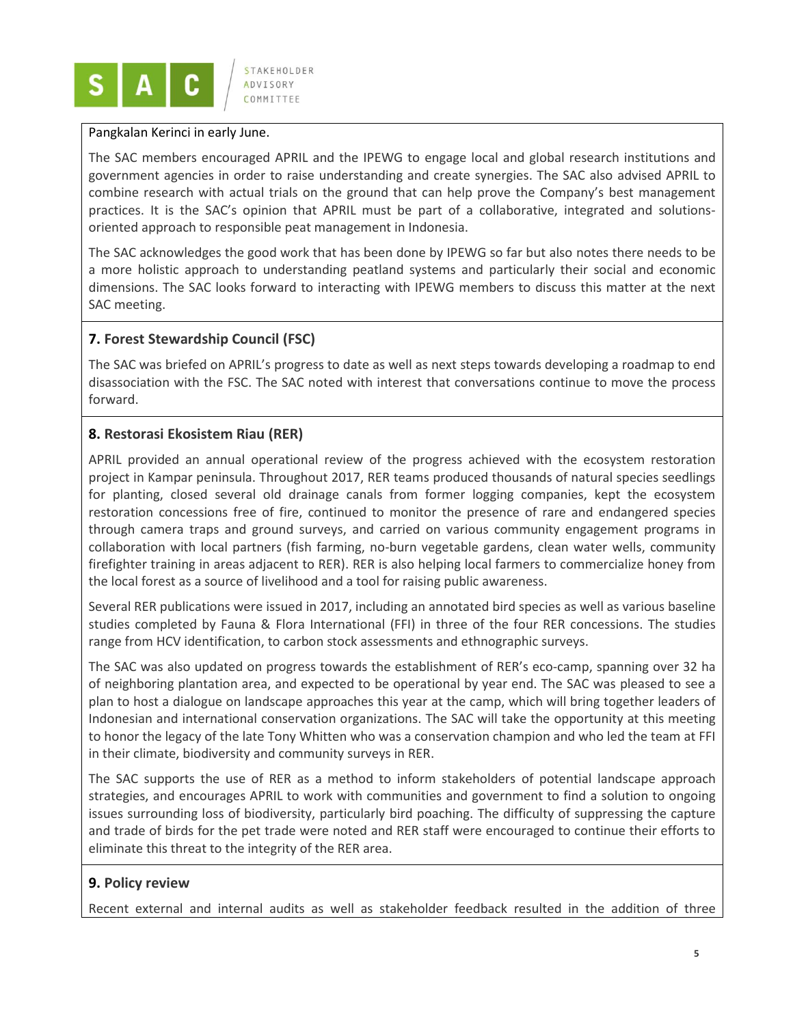

#### Pangkalan Kerinci in early June.

The SAC members encouraged APRIL and the IPEWG to engage local and global research institutions and government agencies in order to raise understanding and create synergies. The SAC also advised APRIL to combine research with actual trials on the ground that can help prove the Company's best management practices. It is the SAC's opinion that APRIL must be part of a collaborative, integrated and solutionsoriented approach to responsible peat management in Indonesia.

The SAC acknowledges the good work that has been done by IPEWG so far but also notes there needs to be a more holistic approach to understanding peatland systems and particularly their social and economic dimensions. The SAC looks forward to interacting with IPEWG members to discuss this matter at the next SAC meeting.

### **7. Forest Stewardship Council (FSC)**

The SAC was briefed on APRIL's progress to date as well as next steps towards developing a roadmap to end disassociation with the FSC. The SAC noted with interest that conversations continue to move the process forward.

### **8. Restorasi Ekosistem Riau (RER)**

APRIL provided an annual operational review of the progress achieved with the ecosystem restoration project in Kampar peninsula. Throughout 2017, RER teams produced thousands of natural species seedlings for planting, closed several old drainage canals from former logging companies, kept the ecosystem restoration concessions free of fire, continued to monitor the presence of rare and endangered species through camera traps and ground surveys, and carried on various community engagement programs in collaboration with local partners (fish farming, no-burn vegetable gardens, clean water wells, community firefighter training in areas adjacent to RER). RER is also helping local farmers to commercialize honey from the local forest as a source of livelihood and a tool for raising public awareness.

Several RER publications were issued in 2017, including an annotated bird species as well as various baseline studies completed by Fauna & Flora International (FFI) in three of the four RER concessions. The studies range from HCV identification, to carbon stock assessments and ethnographic surveys.

The SAC was also updated on progress towards the establishment of RER's eco-camp, spanning over 32 ha of neighboring plantation area, and expected to be operational by year end. The SAC was pleased to see a plan to host a dialogue on landscape approaches this year at the camp, which will bring together leaders of Indonesian and international conservation organizations. The SAC will take the opportunity at this meeting to honor the legacy of the late Tony Whitten who was a conservation champion and who led the team at FFI in their climate, biodiversity and community surveys in RER.

The SAC supports the use of RER as a method to inform stakeholders of potential landscape approach strategies, and encourages APRIL to work with communities and government to find a solution to ongoing issues surrounding loss of biodiversity, particularly bird poaching. The difficulty of suppressing the capture and trade of birds for the pet trade were noted and RER staff were encouraged to continue their efforts to eliminate this threat to the integrity of the RER area.

### **9. Policy review**

Recent external and internal audits as well as stakeholder feedback resulted in the addition of three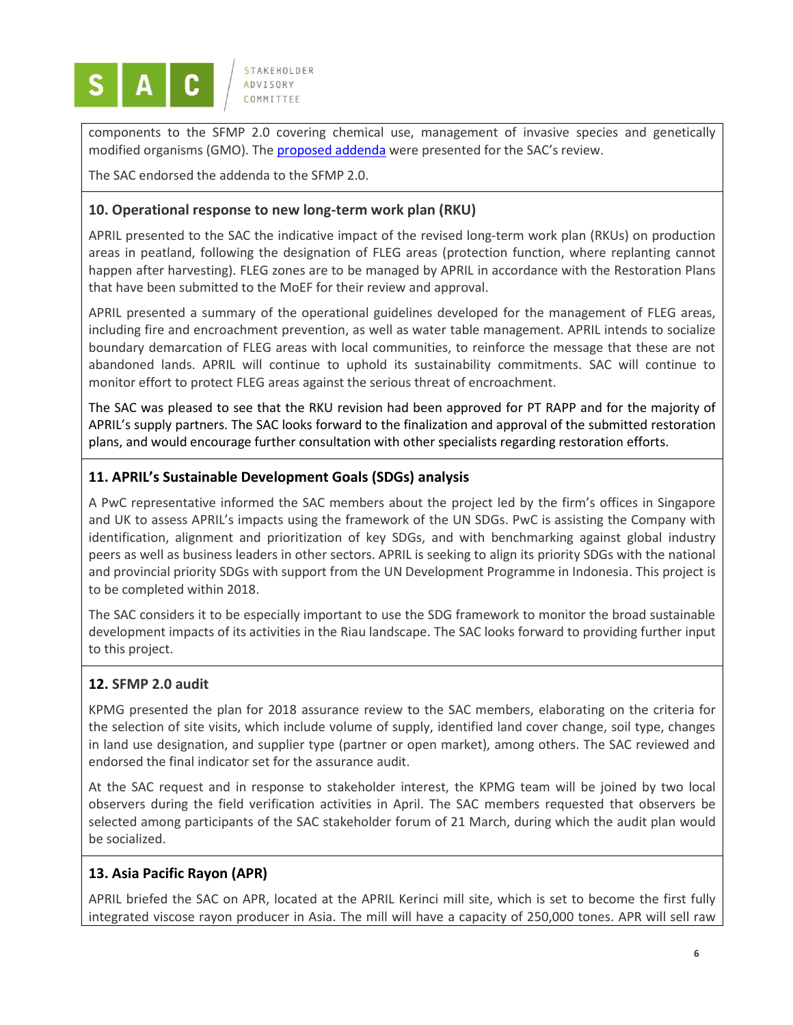

components to the SFMP 2.0 covering chemical use, management of invasive species and genetically modified organisms (GMO). The [proposed addenda](http://sustainability.aprilasia.com/category/addenda-to-sfmp-2-0/2) were presented for the SAC's review.

The SAC endorsed the addenda to the SFMP 2.0.

### **10. Operational response to new long-term work plan (RKU)**

APRIL presented to the SAC the indicative impact of the revised long-term work plan (RKUs) on production areas in peatland, following the designation of FLEG areas (protection function, where replanting cannot happen after harvesting). FLEG zones are to be managed by APRIL in accordance with the Restoration Plans that have been submitted to the MoEF for their review and approval.

APRIL presented a summary of the operational guidelines developed for the management of FLEG areas, including fire and encroachment prevention, as well as water table management. APRIL intends to socialize boundary demarcation of FLEG areas with local communities, to reinforce the message that these are not abandoned lands. APRIL will continue to uphold its sustainability commitments. SAC will continue to monitor effort to protect FLEG areas against the serious threat of encroachment.

The SAC was pleased to see that the RKU revision had been approved for PT RAPP and for the majority of APRIL's supply partners. The SAC looks forward to the finalization and approval of the submitted restoration plans, and would encourage further consultation with other specialists regarding restoration efforts.

### **11. APRIL's Sustainable Development Goals (SDGs) analysis**

A PwC representative informed the SAC members about the project led by the firm's offices in Singapore and UK to assess APRIL's impacts using the framework of the UN SDGs. PwC is assisting the Company with identification, alignment and prioritization of key SDGs, and with benchmarking against global industry peers as well as business leaders in other sectors. APRIL is seeking to align its priority SDGs with the national and provincial priority SDGs with support from the UN Development Programme in Indonesia. This project is to be completed within 2018.

The SAC considers it to be especially important to use the SDG framework to monitor the broad sustainable development impacts of its activities in the Riau landscape. The SAC looks forward to providing further input to this project.

### **12. SFMP 2.0 audit**

KPMG presented the plan for 2018 assurance review to the SAC members, elaborating on the criteria for the selection of site visits, which include volume of supply, identified land cover change, soil type, changes in land use designation, and supplier type (partner or open market), among others. The SAC reviewed and endorsed the final indicator set for the assurance audit.

At the SAC request and in response to stakeholder interest, the KPMG team will be joined by two local observers during the field verification activities in April. The SAC members requested that observers be selected among participants of the SAC stakeholder forum of 21 March, during which the audit plan would be socialized.

### **13. Asia Pacific Rayon (APR)**

APRIL briefed the SAC on APR, located at the APRIL Kerinci mill site, which is set to become the first fully integrated viscose rayon producer in Asia. The mill will have a capacity of 250,000 tones. APR will sell raw